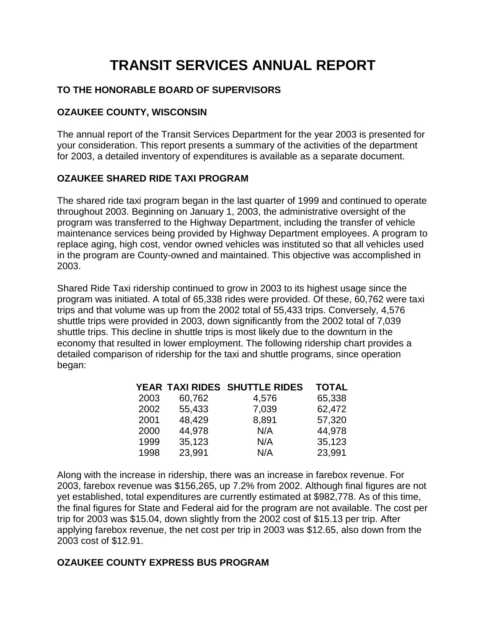# **TRANSIT SERVICES ANNUAL REPORT**

# **TO THE HONORABLE BOARD OF SUPERVISORS**

### **OZAUKEE COUNTY, WISCONSIN**

The annual report of the Transit Services Department for the year 2003 is presented for your consideration. This report presents a summary of the activities of the department for 2003, a detailed inventory of expenditures is available as a separate document.

## **OZAUKEE SHARED RIDE TAXI PROGRAM**

The shared ride taxi program began in the last quarter of 1999 and continued to operate throughout 2003. Beginning on January 1, 2003, the administrative oversight of the program was transferred to the Highway Department, including the transfer of vehicle maintenance services being provided by Highway Department employees. A program to replace aging, high cost, vendor owned vehicles was instituted so that all vehicles used in the program are County-owned and maintained. This objective was accomplished in 2003.

Shared Ride Taxi ridership continued to grow in 2003 to its highest usage since the program was initiated. A total of 65,338 rides were provided. Of these, 60,762 were taxi trips and that volume was up from the 2002 total of 55,433 trips. Conversely, 4,576 shuttle trips were provided in 2003, down significantly from the 2002 total of 7,039 shuttle trips. This decline in shuttle trips is most likely due to the downturn in the economy that resulted in lower employment. The following ridership chart provides a detailed comparison of ridership for the taxi and shuttle programs, since operation began:

|      |        | YEAR TAXI RIDES SHUTTLE RIDES | <b>TOTAL</b> |
|------|--------|-------------------------------|--------------|
| 2003 | 60,762 | 4,576                         | 65,338       |
| 2002 | 55,433 | 7,039                         | 62,472       |
| 2001 | 48,429 | 8,891                         | 57,320       |
| 2000 | 44,978 | N/A                           | 44,978       |
| 1999 | 35,123 | N/A                           | 35,123       |
| 1998 | 23,991 | N/A                           | 23,991       |

Along with the increase in ridership, there was an increase in farebox revenue. For 2003, farebox revenue was \$156,265, up 7.2% from 2002. Although final figures are not yet established, total expenditures are currently estimated at \$982,778. As of this time, the final figures for State and Federal aid for the program are not available. The cost per trip for 2003 was \$15.04, down slightly from the 2002 cost of \$15.13 per trip. After applying farebox revenue, the net cost per trip in 2003 was \$12.65, also down from the 2003 cost of \$12.91.

### **OZAUKEE COUNTY EXPRESS BUS PROGRAM**